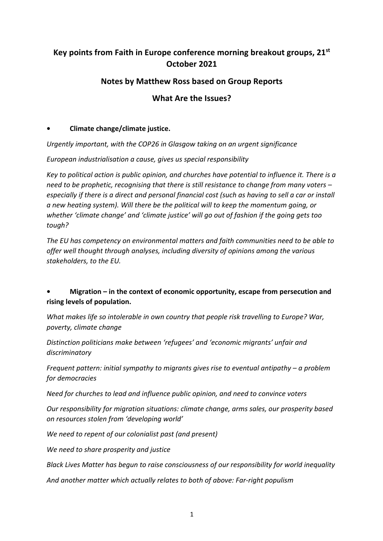# **Key points from Faith in Europe conference morning breakout groups, 21st October 2021**

## **Notes by Matthew Ross based on Group Reports**

## **What Are the Issues?**

#### **• Climate change/climate justice.**

*Urgently important, with the COP26 in Glasgow taking on an urgent significance*

*European industrialisation a cause, gives us special responsibility*

*Key to political action is public opinion, and churches have potential to influence it. There is a need to be prophetic, recognising that there is still resistance to change from many voters – especially if there is a direct and personal financial cost (such as having to sell a car or install a new heating system). Will there be the political will to keep the momentum going, or whether 'climate change' and 'climate justice' will go out of fashion if the going gets too tough?*

*The EU has competency on environmental matters and faith communities need to be able to offer well thought through analyses, including diversity of opinions among the various stakeholders, to the EU.* 

### **• Migration – in the context of economic opportunity, escape from persecution and rising levels of population.**

*What makes life so intolerable in own country that people risk travelling to Europe? War, poverty, climate change*

*Distinction politicians make between 'refugees' and 'economic migrants' unfair and discriminatory*

*Frequent pattern: initial sympathy to migrants gives rise to eventual antipathy – a problem for democracies*

*Need for churches to lead and influence public opinion, and need to convince voters*

*Our responsibility for migration situations: climate change, arms sales, our prosperity based on resources stolen from 'developing world'*

*We need to repent of our colonialist past (and present)*

*We need to share prosperity and justice*

*Black Lives Matter has begun to raise consciousness of our responsibility for world inequality*

*And another matter which actually relates to both of above: Far-right populism*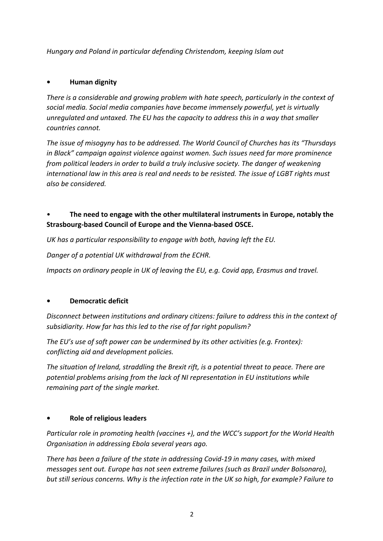*Hungary and Poland in particular defending Christendom, keeping Islam out*

#### **• Human dignity**

*There is a considerable and growing problem with hate speech, particularly in the context of social media. Social media companies have become immensely powerful, yet is virtually unregulated and untaxed. The EU has the capacity to address this in a way that smaller countries cannot.*

*The issue of misogyny has to be addressed. The World Council of Churches has its "Thursdays in Black" campaign against violence against women. Such issues need far more prominence from political leaders in order to build a truly inclusive society. The danger of weakening international law in this area is real and needs to be resisted. The issue of LGBT rights must also be considered.*

### • **The need to engage with the other multilateral instruments in Europe, notably the Strasbourg-based Council of Europe and the Vienna-based OSCE.**

*UK has a particular responsibility to engage with both, having left the EU.*

*Danger of a potential UK withdrawal from the ECHR.*

*Impacts on ordinary people in UK of leaving the EU, e.g. Covid app, Erasmus and travel.*

#### **• Democratic deficit**

*Disconnect between institutions and ordinary citizens: failure to address this in the context of subsidiarity. How far has this led to the rise of far right populism?*

*The EU's use of soft power can be undermined by its other activities (e.g. Frontex): conflicting aid and development policies.*

*The situation of Ireland, straddling the Brexit rift, is a potential threat to peace. There are potential problems arising from the lack of NI representation in EU institutions while remaining part of the single market.*

#### **• Role of religious leaders**

*Particular role in promoting health (vaccines +), and the WCC's support for the World Health Organisation in addressing Ebola several years ago.*

*There has been a failure of the state in addressing Covid-19 in many cases, with mixed messages sent out. Europe has not seen extreme failures (such as Brazil under Bolsonaro), but still serious concerns. Why is the infection rate in the UK so high, for example? Failure to*